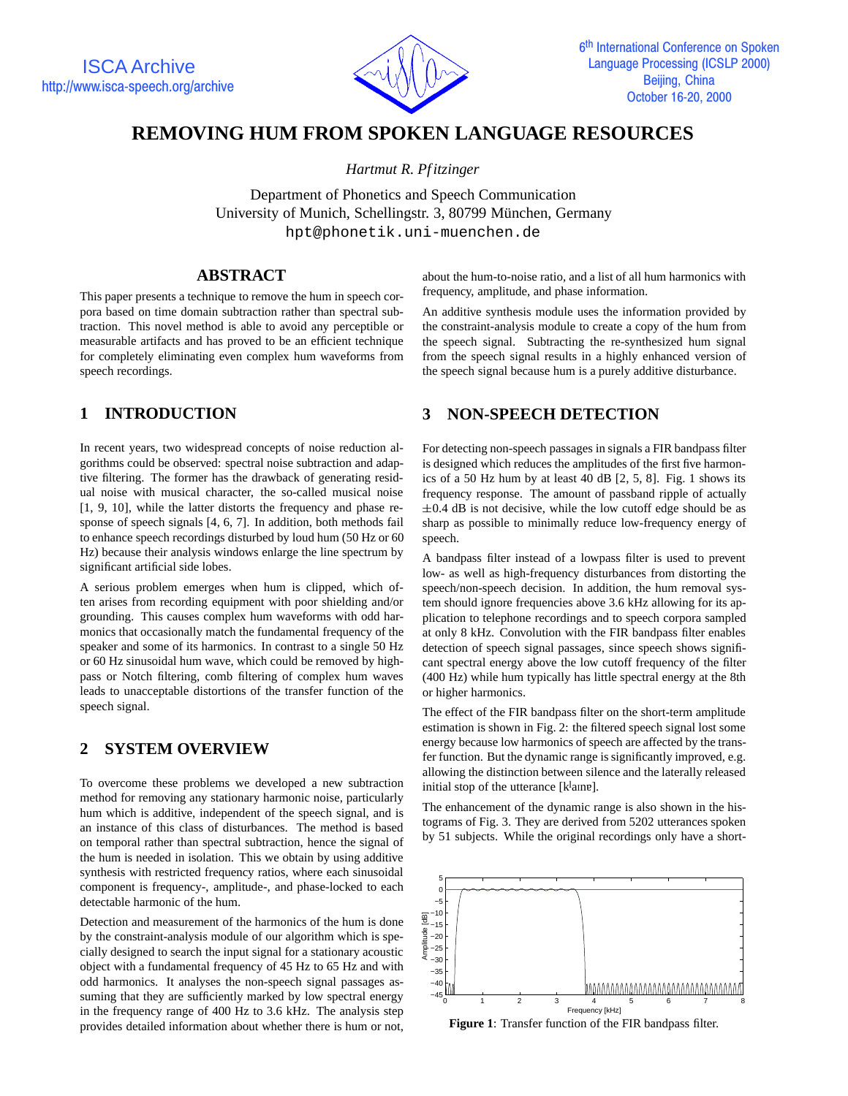

# **REMOVING HUM FROM SPOKEN LANGUAGE RESOURCES**

*Hartmut R. Pf itzinger*

Department of Phonetics and Speech Communication University of Munich, Schellingstr. 3, 80799 München, Germany hpt@phonetik.uni-muenchen.de

### **ABSTRACT**

This paper presents a technique to remove the hum in speech corpora based on time domain subtraction rather than spectral subtraction. This novel method is able to avoid any perceptible or measurable artifacts and has proved to be an efficient technique for completely eliminating even complex hum waveforms from speech recordings.

## **1 INTRODUCTION**

In recent years, two widespread concepts of noise reduction algorithms could be observed: spectral noise subtraction and adaptive filtering. The former has the drawback of generating residual noise with musical character, the so-called musical noise [1, 9, 10], while the latter distorts the frequency and phase response of speech signals [4, 6, 7]. In addition, both methods fail to enhance speech recordings disturbed by loud hum (50 Hz or 60 Hz) because their analysis windows enlarge the line spectrum by significant artificial side lobes.

A serious problem emerges when hum is clipped, which often arises from recording equipment with poor shielding and/or grounding. This causes complex hum waveforms with odd harmonics that occasionally match the fundamental frequency of the speaker and some of its harmonics. In contrast to a single 50 Hz or 60 Hz sinusoidal hum wave, which could be removed by highpass or Notch filtering, comb filtering of complex hum waves leads to unacceptable distortions of the transfer function of the speech signal.

## **2 SYSTEM OVERVIEW**

To overcome these problems we developed a new subtraction method for removing any stationary harmonic noise, particularly hum which is additive, independent of the speech signal, and is an instance of this class of disturbances. The method is based on temporal rather than spectral subtraction, hence the signal of the hum is needed in isolation. This we obtain by using additive synthesis with restricted frequency ratios, where each sinusoidal component is frequency-, amplitude-, and phase-locked to each detectable harmonic of the hum.

Detection and measurement of the harmonics of the hum is done by the constraint-analysis module of our algorithm which is specially designed to search the input signal for a stationary acoustic object with a fundamental frequency of 45 Hz to 65 Hz and with odd harmonics. It analyses the non-speech signal passages assuming that they are sufficiently marked by low spectral energy in the frequency range of 400 Hz to 3.6 kHz. The analysis step provides detailed information about whether there is hum or not,

about the hum-to-noise ratio, and a list of all hum harmonics with frequency, amplitude, and phase information.

An additive synthesis module uses the information provided by the constraint-analysis module to create a copy of the hum from the speech signal. Subtracting the re-synthesized hum signal from the speech signal results in a highly enhanced version of the speech signal because hum is a purely additive disturbance.

## **3 NON-SPEECH DETECTION**

For detecting non-speech passages in signals a FIR bandpass filter is designed which reduces the amplitudes of the first five harmonics of a 50 Hz hum by at least 40 dB [2, 5, 8]. Fig. 1 shows its frequency response. The amount of passband ripple of actually  $\pm 0.4$  dB is not decisive, while the low cutoff edge should be as sharp as possible to minimally reduce low-frequency energy of speech.

A bandpass filter instead of a lowpass filter is used to prevent low- as well as high-frequency disturbances from distorting the speech/non-speech decision. In addition, the hum removal system should ignore frequencies above 3.6 kHz allowing for its application to telephone recordings and to speech corpora sampled at only 8 kHz. Convolution with the FIR bandpass filter enables detection of speech signal passages, since speech shows significant spectral energy above the low cutoff frequency of the filter (400 Hz) while hum typically has little spectral energy at the 8th or higher harmonics.

The effect of the FIR bandpass filter on the short-term amplitude estimation is shown in Fig. 2: the filtered speech signal lost some energy because low harmonics of speech are affected by the transfer function. But the dynamic range is significantly improved, e.g. allowing the distinction between silence and the laterally released initial stop of the utterance [klain e].

The enhancement of the dynamic range is also shown in the histograms of Fig. 3. They are derived from 5202 utterances spoken by 51 subjects. While the original recordings only have a short-



**Figure 1**: Transfer function of the FIR bandpass filter.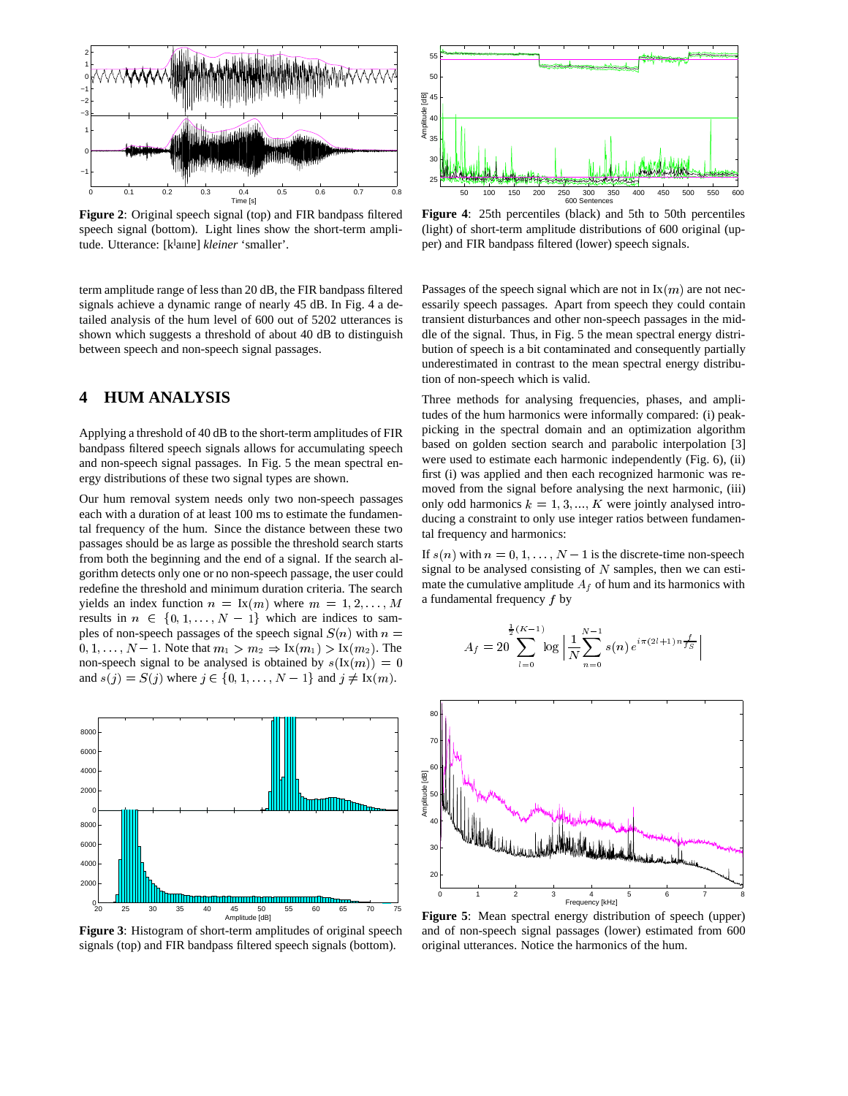

**Figure 2**: Original speech signal (top) and FIR bandpass filtered speech signal (bottom). Light lines show the short-term amplitude. Utterance: [klain e] kleiner 'smaller'.

term amplitude range of less than 20 dB, the FIR bandpass filtered signals achieve a dynamic range of nearly 45 dB. In Fig. 4 a detailed analysis of the hum level of 600 out of 5202 utterances is shown which suggests a threshold of about 40 dB to distinguish between speech and non-speech signal passages.

### **4 HUM ANALYSIS**

Applying a threshold of 40 dB to the short-term amplitudes of FIR bandpass filtered speech signals allows for accumulating speech and non-speech signal passages. In Fig. 5 the mean spectral energy distributions of these two signal types are shown.

Our hum removal system needs only two non-speech passages each with a duration of at least 100 ms to estimate the fundamental frequency of the hum. Since the distance between these two passages should be as large as possible the threshold search starts from both the beginning and the end of a signal. If the search algorithm detects only one or no non-speech passage, the user could redefine the threshold and minimum duration criteria. The search yields an index function  $n = \text{Ix}(m)$  where  $m = 1, 2, \ldots, M$ results in  $n \in \{0, 1, \ldots, N - 1\}$  which are indices to samples of non-speech passages of the speech signal  $S(n)$  with  $n =$  $0, 1, \ldots, N-1$ . Note that  $m_1 > m_2 \Rightarrow \text{Ix}(m_1) > \text{Ix}(m_2)$ . The non-speech signal to be analysed is obtained by  $s(Ix(m)) = 0$ and  $s(j) = S(j)$  where  $j \in \{0, 1, ..., N - 1\}$  and  $j \neq Ix(m)$ .



**Figure 3**: Histogram of short-term amplitudes of original speech signals (top) and FIR bandpass filtered speech signals (bottom).



**Figure 4**: 25th percentiles (black) and 5th to 50th percentiles (light) of short-term amplitude distributions of 600 original (upper) and FIR bandpass filtered (lower) speech signals.

Passages of the speech signal which are not in  $Ix(m)$  are not necessarily speech passages. Apart from speech they could contain transient disturbances and other non-speech passages in the middle of the signal. Thus, in Fig. 5 the mean spectral energy distribution of speech is a bit contaminated and consequently partially underestimated in contrast to the mean spectral energy distribution of non-speech which is valid.

Three methods for analysing frequencies, phases, and amplitudes of the hum harmonics were informally compared: (i) peakpicking in the spectral domain and an optimization algorithm based on golden section search and parabolic interpolation [3] were used to estimate each harmonic independently (Fig. 6), (ii) first (i) was applied and then each recognized harmonic was removed from the signal before analysing the next harmonic, (iii) only odd harmonics  $k = 1, 3, ..., K$  were jointly analysed introducing a constraint to only use integer ratios between fundamental frequency and harmonics:

If  $s(n)$  with  $n = 0, 1, \ldots, N - 1$  is the discrete-time non-speech signal to be analysed consisting of  $N$  samples, then we can estimate the cumulative amplitude  $A_f$  of hum and its harmonics with a fundamental frequency f by

$$
A_f = 20 \sum_{l=0}^{\frac{1}{2}(K-1)} \log \left| \frac{1}{N} \sum_{n=0}^{N-1} s(n) e^{i \pi (2l+1) n} \frac{f}{f_S} \right|
$$



**Figure 5**: Mean spectral energy distribution of speech (upper) and of non-speech signal passages (lower) estimated from 600 original utterances. Notice the harmonics of the hum.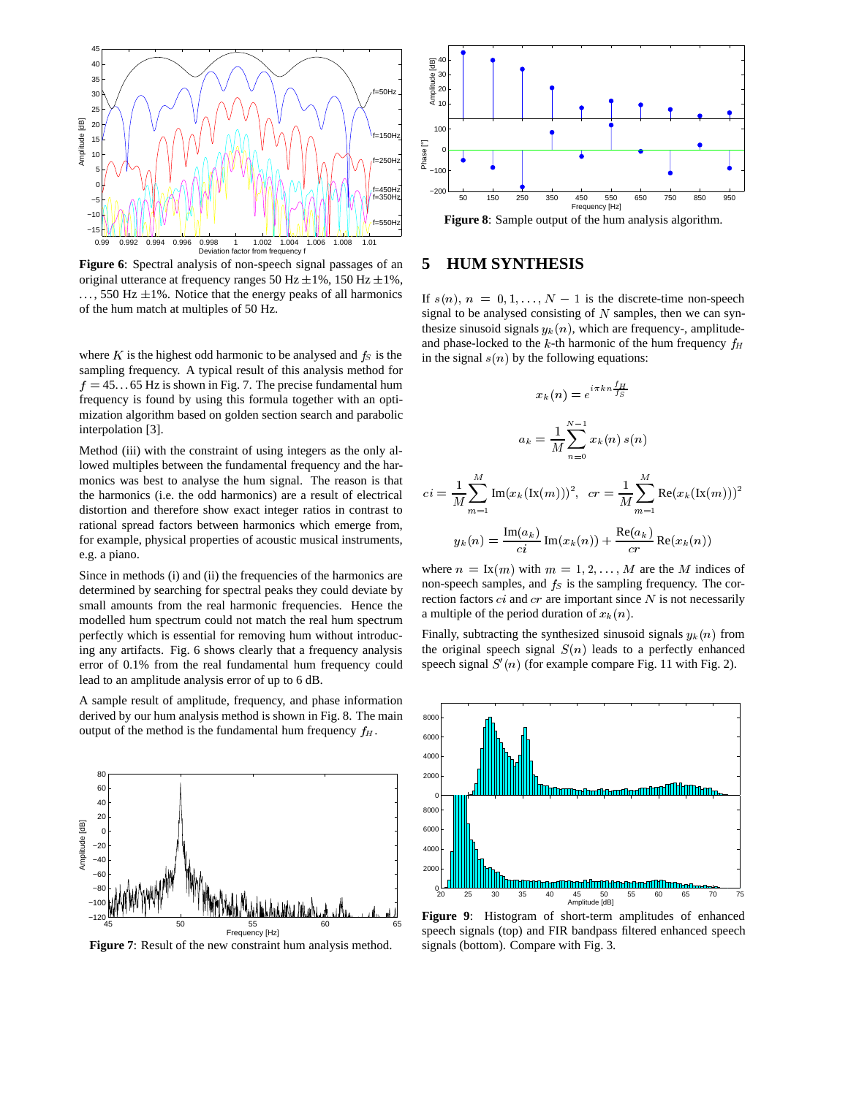

**Figure 6**: Spectral analysis of non-speech signal passages of an original utterance at frequency ranges 50 Hz  $\pm$ 1%, 150 Hz  $\pm$ 1%,  $...,$  550 Hz  $\pm$ 1%. Notice that the energy peaks of all harmonics of the hum match at multiples of 50 Hz.

where  $K$  is the highest odd harmonic to be analysed and  $f<sub>S</sub>$  is the sampling frequency. A typical result of this analysis method for  $f = 45...65$  Hz is shown in Fig. 7. The precise fundamental hum frequency is found by using this formula together with an optimization algorithm based on golden section search and parabolic interpolation [3].

Method (iii) with the constraint of using integers as the only allowed multiples between the fundamental frequency and the harmonics was best to analyse the hum signal. The reason is that the harmonics (i.e. the odd harmonics) are a result of electrical distortion and therefore show exact integer ratios in contrast to rational spread factors between harmonics which emerge from, for example, physical properties of acoustic musical instruments, e.g. a piano.

Since in methods (i) and (ii) the frequencies of the harmonics are determined by searching for spectral peaks they could deviate by small amounts from the real harmonic frequencies. Hence the modelled hum spectrum could not match the real hum spectrum perfectly which is essential for removing hum without introducing any artifacts. Fig. 6 shows clearly that a frequency analysis error of 0.1% from the real fundamental hum frequency could lead to an amplitude analysis error of up to 6 dB.

A sample result of amplitude, frequency, and phase information derived by our hum analysis method is shown in Fig. 8. The main output of the method is the fundamental hum frequency  $f<sub>H</sub>$ .



**Figure 7**: Result of the new constraint hum analysis method.



**Figure 8**: Sample output of the hum analysis algorithm.

#### **5 HUM SYNTHESIS**

If  $s(n)$ ,  $n = 0, 1, \ldots, N - 1$  is the discrete-time non-speech signal to be analysed consisting of  $N$  samples, then we can synthesize sinusoid signals  $y_k(n)$ , which are frequency-, amplitudeand phase-locked to the k-th harmonic of the hum frequency  $f_H$ in the signal  $s(n)$  by the following equations:

$$
x_k(n) = e^{i\pi k n \frac{f_H}{f_S}}
$$
  

$$
a_k = \frac{1}{M} \sum_{n=0}^{N-1} x_k(n) s(n)
$$
  

$$
ci = \frac{1}{M} \sum_{m=1}^{M} \text{Im}(x_k(\text{Ix}(m)))^2, \text{ } cr = \frac{1}{M} \sum_{m=1}^{M} \text{Re}(x_k(\text{Ix}(m)))^2
$$
  

$$
y_k(n) = \frac{\text{Im}(a_k)}{ci} \text{Im}(x_k(n)) + \frac{\text{Re}(a_k)}{cr} \text{Re}(x_k(n))
$$

where  $n = \text{Ix}(m)$  with  $m = 1, 2, \ldots, M$  are the M indices of non-speech samples, and  $f<sub>S</sub>$  is the sampling frequency. The correction factors  $ci$  and  $cr$  are important since  $N$  is not necessarily a multiple of the period duration of  $x_k(n)$ .

Finally, subtracting the synthesized sinusoid signals  $y_k(n)$  from the original speech signal  $S(n)$  leads to a perfectly enhanced speech signal  $S'(n)$  (for example compare Fig. 11 with Fig. 2).



**Figure 9**: Histogram of short-term amplitudes of enhanced speech signals (top) and FIR bandpass filtered enhanced speech signals (bottom). Compare with Fig. 3.